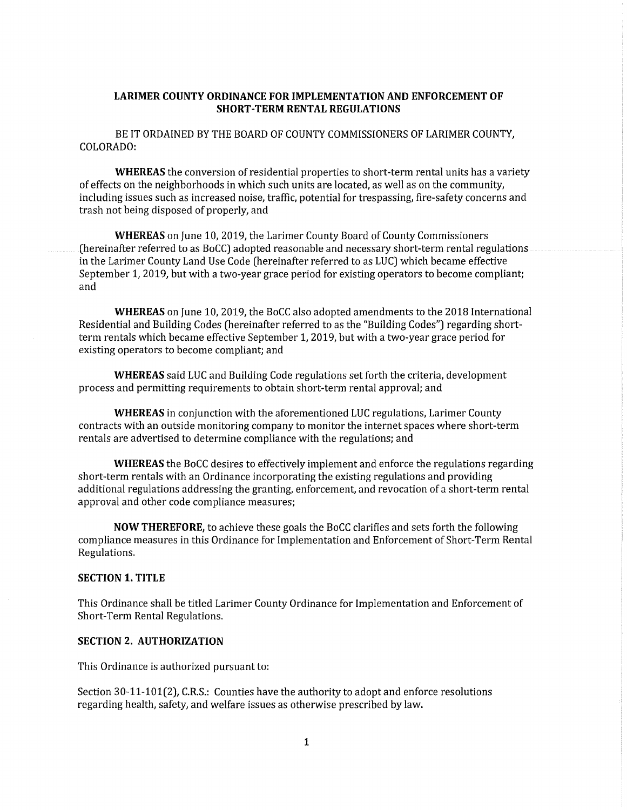## **LARIMER COUNTY ORDINANCE FOR IMPLEMENTATION AND ENFORCEMENT OF SHORT-TERM RENTAL REGULATIONS**

BE IT ORDAINED BY THE BOARD OF COUNTY COMMISSIONERS OF LARIMER COUNTY, COLORADO:

**WHEREAS** the conversion of residential properties to short-term rental units has a variety of effects on the neighborhoods in which such units are located, as well as on the community, including issues such as increased noise, traffic, potential for trespassing, fire-safety concerns and trash not being disposed of properly, and

**WHEREAS** on June 10, 2019, the Larimer County Board of County Commissioners (hereinafter referred to as BoCC) adopted reasonable and necessary short-term rental regulations in the Larimer County Land Use Code (hereinafter referred to as LUC) which became effective September 1, 2019, but with a two-year grace period for existing operators to become compliant; and

**WHEREAS** on June 10, 2019, the BoCC also adopted amendments to the 2018 International Residential and Building Codes (hereinafter referred to as the "Building Codes") regarding shortterm rentals which became effective September 1, 2019, but with a two-year grace period for existing operators to become compliant; and

**WHEREAS** said LUC and Building Code regulations set forth the criteria, development process and permitting requirements to obtain short-term rental approval; and

**WHEREAS** in conjunction with the aforementioned LUC regulations, Larimer County contracts with an outside monitoring company to monitor the internet spaces where short-term rentals are advertised to determine compliance with the regulations; and

**WHEREAS** the BoCC desires to effectively implement and enforce the regulations regarding short-term rentals with an Ordinance incorporating the existing regulations and providing additional regulations addressing the granting, enforcement, and revocation of a short-term rental approval and other code compliance measures;

**NOW THEREFORE,** to achieve these goals the BoCC clarifies and sets forth the following compliance measures in this Ordinance for Implementation and Enforcement of Short-Term Rental Regulations.

## **SECTION 1. TITLE**

This Ordinance shall be titled Larimer County Ordinance for Implementation and Enforcement of Short-Term Rental Regulations.

# **SECTION 2. AUTHORIZATION**

This Ordinance is authorized pursuant to:

Section 30-11-101(2), C.R.S.: Counties have the authority to adopt and enforce resolutions regarding health, safety, and welfare issues as otherwise prescribed by law.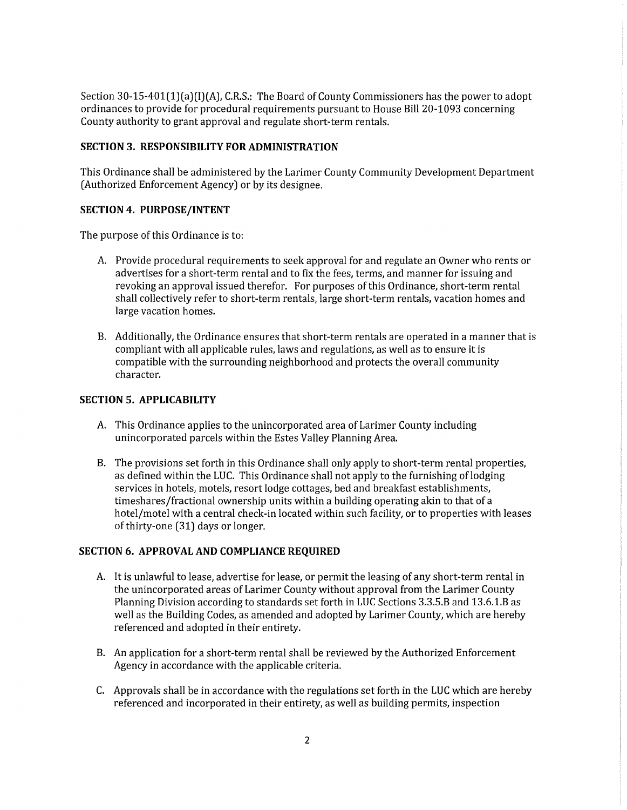Section 30-15-401(1)(a)(I)(A), C.R.S.: The Board of County Commissioners has the power to adopt ordinances to provide for procedural requirements pursuant to House Bill 20-1093 concerning County authority to grant approval and regulate short-term rentals.

## **SECTION 3. RESPONSIBILITY FOR ADMINISTRATION**

This Ordinance shall be administered by the Larimer County Community Development Department (Authorized Enforcement Agency) or by its designee.

## **SECTION 4. PURPOSE/INTENT**

The purpose of this Ordinance is to:

- A. Provide procedural requirements to seek approval for and regulate an Owner who rents or advertises for a short-term rental and to fix the fees, terms, and manner for issuing and revoking an approval issued therefor. For purposes of this Ordinance, short-term rental shall collectively refer to short-term rentals, large short-term rentals, vacation homes and large vacation homes.
- 8. Additionally, the Ordinance ensures that short-term rentals are operated in a manner that is compliant with all applicable rules, laws and regulations, as well as to ensure it is compatible with the surrounding neighborhood and protects the overall community character.

# **SECTION 5. APPLICABILITY**

- A. This Ordinance applies to the unincorporated area of Larimer County including unincorporated parcels within the Estes Valley Planning Area.
- 8. The provisions set forth in this Ordinance shall only apply to short-term rental properties, as defined within the LUC. This Ordinance shall not apply to the furnishing oflodging services in hotels, motels, resort lodge cottages, bed and breakfast establishments, timeshares/fractional ownership units within a building operating akin to that of a hotel/motel with a central check-in located within such facility, or to properties with leases of thirty-one (31) days or longer.

## **SECTION 6. APPROVAL AND COMPLIANCE REQUIRED**

- A. It is unlawful to lease, advertise for lease, or permit the leasing of any short-term rental in the unincorporated areas of Larimer County without approval from the Larimer County Planning Division according to standards set forth in LUC Sections 3.3.5.B and 13.6.1.B as well as the Building Codes, as amended and adopted by Larimer County, which are hereby referenced and adopted in their entirety.
- 8. An application for a short-term rental shall be reviewed by the Authorized Enforcement Agency in accordance with the applicable criteria.
- C. Approvals shall be in accordance with the regulations set forth in the LUC which are hereby referenced and incorporated in their entirety, as well as building permits, inspection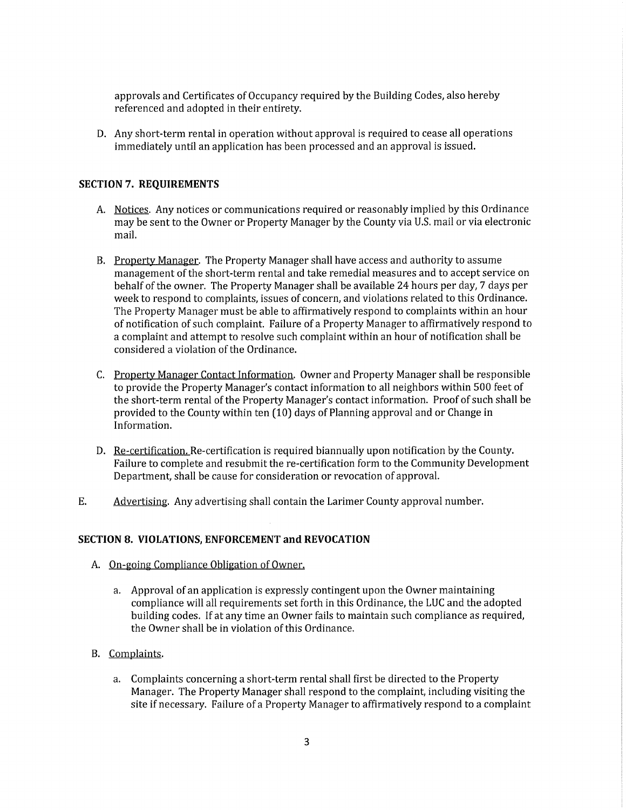approvals and Certificates of Occupancy required by the Building Codes, also hereby referenced and adopted in their entirety.

D. Any short-term rental in operation without approval is required to cease all operations immediately until an application has been processed and an approval is issued.

### **SECTION 7. REQUIREMENTS**

- A. Notices. Any notices or communications required or reasonably implied by this Ordinance may be sent to the Owner or Property Manager by the County via U.S. mail or via electronic mail.
- 8. Property Manager. The Property Manager shall have access and authority to assume management of the short-term rental and take remedial measures and to accept service on behalf of the owner. The Property Manager shall be available 24 hours per day, 7 days per week to respond to complaints, issues of concern, and violations related to this Ordinance. The Property Manager must be able to affirmatively respond to complaints within an hour of notification of such complaint. Failure of a Property Manager to affirmatively respond to a complaint and attempt to resolve such complaint within an hour of notification shall be considered a violation of the Ordinance.
- C. Property Manager Contact Information. Owner and Property Manager shall be responsible to provide the Property Manager's contact information to all neighbors within 500 feet of the short-term rental of the Property Manager's contact information. Proof of such shall be provided to the County within ten (10) days of Planning approval and or Change in Information.
- D. Re-certification. Re-certification is required biannually upon notification by the County. Failure to complete and resubmit the re-certification form to the Community Development Department, shall be cause for consideration or revocation of approval.
- E. Advertising. Any advertising shall contain the Larimer County approval number.

#### **SECTION 8. VIOLATIONS, ENFORCEMENT and REVOCATION**

- A. On-going Compliance Obligation of Owner.
	- a. Approval of an application is expressly contingent upon the Owner maintaining compliance will all requirements set forth in this Ordinance, the LUC and the adopted building codes. If at any time an Owner fails to maintain such compliance as required, the Owner shall be in violation of this Ordinance.
- 8. Complaints.
	- a. Complaints concerning a short-term rental shall first be directed to the Property Manager. The Property Manager shall respond to the complaint, including visiting the site if necessary. Failure of a Property Manager to affirmatively respond to a complaint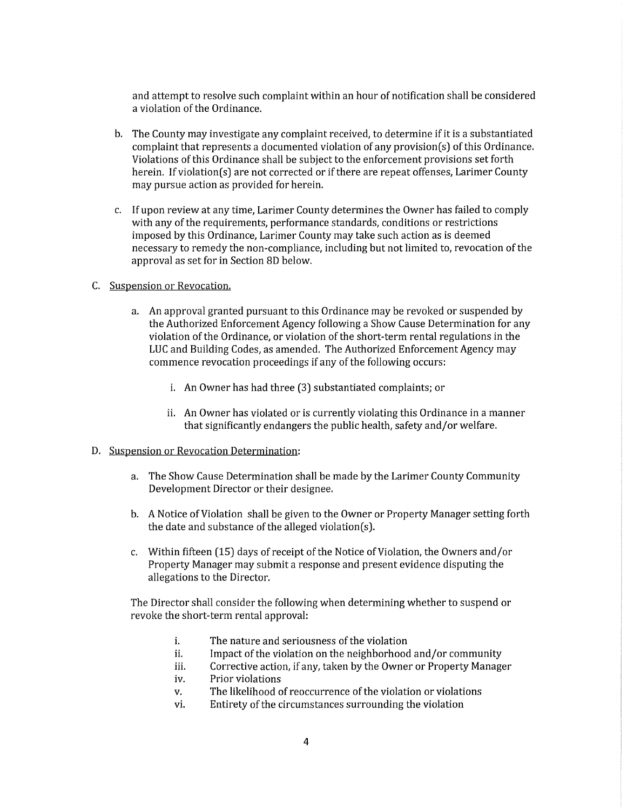and attempt to resolve such complaint within an hour of notification shall be considered a violation of the Ordinance.

- b. The County may investigate any complaint received, to determine if it is a substantiated complaint that represents a documented violation of any provision(s) of this Ordinance. Violations of this Ordinance shall be subject to the enforcement provisions set forth herein. If violation(s) are not corrected or if there are repeat offenses, Larimer County may pursue action as provided for herein.
- c. If upon review at any time, Larimer County determines the Owner has failed to comply with any of the requirements, performance standards, conditions or restrictions imposed by this Ordinance, Larimer County may take such action as is deemed necessary to remedy the non-compliance, including but not limited to, revocation of the approval as set for in Section 8D below.
- C. Suspension or Revocation.
	- a. An approval granted pursuant to this Ordinance may be revoked or suspended by the Authorized Enforcement Agency following a Show Cause Determination for any violation of the Ordinance, or violation of the short-term rental regulations in the LUC and Building Codes, as amended. The Authorized Enforcement Agency may commence revocation proceedings ifany of the following occurs:
		- i. An Owner has had three (3) substantiated complaints; or
		- ii. An Owner has violated or is currently violating this Ordinance in a manner that significantly endangers the public health, safety and/or welfare.

#### D. Suspension or Revocation Determination:

- a. The Show Cause Determination shall be made by the Larimer County Community Development Director or their designee.
- b. A Notice of Violation shall be given to the Owner or Property Manager setting forth the date and substance of the alleged violation(s).
- c. Within fifteen (15) days of receipt of the Notice of Violation, the Owners and/or Property Manager may submit a response and present evidence disputing the allegations to the Director.

The Director shall consider the following when determining whether to suspend or revoke the short-term rental approval:

- i. The nature and seriousness of the violation
- ii. Impact of the violation on the neighborhood and/or community
- iii. Corrective action, if any, taken by the Owner or Property Manager
- iv. Prior violations
- v. The likelihood of reoccurrence of the violation or violations
- vi. Entirety of the circumstances surrounding the violation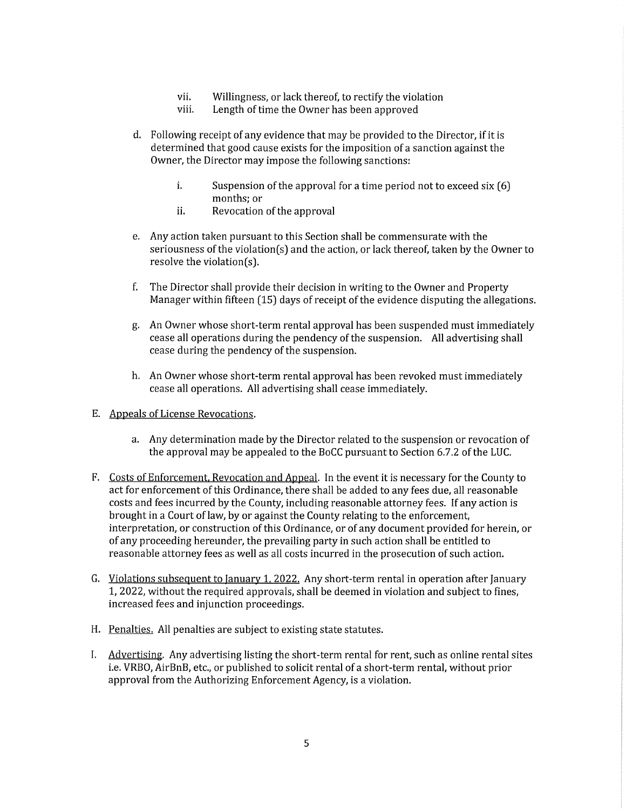- vii. Willingness, or lack thereof, to rectify the violation
- viii. Length of time the Owner has been approved
- d. Following receipt of any evidence that may be provided to the Director, if it is determined that good cause exists for the imposition of a sanction against the Owner, the Director may impose the following sanctions:
	- i. Suspension of the approval for a time period not to exceed six  $(6)$ months; or
	- ii. Revocation of the approval
- e. Any action taken pursuant to this Section shall be commensurate with the seriousness of the violation(s) and the action, or lack thereof, taken by the Owner to resolve the violation(s).
- f. The Director shall provide their decision in writing to the Owner and Property Manager within fifteen (15) days of receipt of the evidence disputing the allegations.
- g. An Owner whose short-term rental approval has been suspended must immediately cease all operations during the pendency of the suspension. All advertising shall cease during the pendency of the suspension.
- h. An Owner whose short-term rental approval has been revoked must immediately cease all operations. All advertising shall cease immediately.
- E. Appeals of License Revocations.
	- a. Any determination made by the Director related to the suspension or revocation of the approval may be appealed to the BoCC pursuant to Section 6.7.2 of the LUC.
- F. Costs of Enforcement, Revocation and Appeal. In the event it is necessary for the County to act for enforcement of this Ordinance, there shall be added to any fees due, all reasonable costs and fees incurred by the County, including reasonable attorney fees. If any action is brought in a Court oflaw, by or against the County relating to the enforcement, interpretation, or construction of this Ordinance, or of any document provided for herein, or of any proceeding hereunder, the prevailing party in such action shall be entitled to reasonable attorney fees as well as all costs incurred in the prosecution of such action.
- G. *Violations subsequent to January 1, 2022*. Any short-term rental in operation after January 1, 2022, without the required approvals, shall be deemed in violation and subject to fines, increased fees and injunction proceedings.
- H. Penalties. All penalties are subject to existing state statutes.
- I. Advertising. Any advertising listing the short-term rental for rent, such as online rental sites i.e. VRBO, AirBnB, etc., or published to solicit rental of a short-term rental, without prior approval from the Authorizing Enforcement Agency, is a violation.